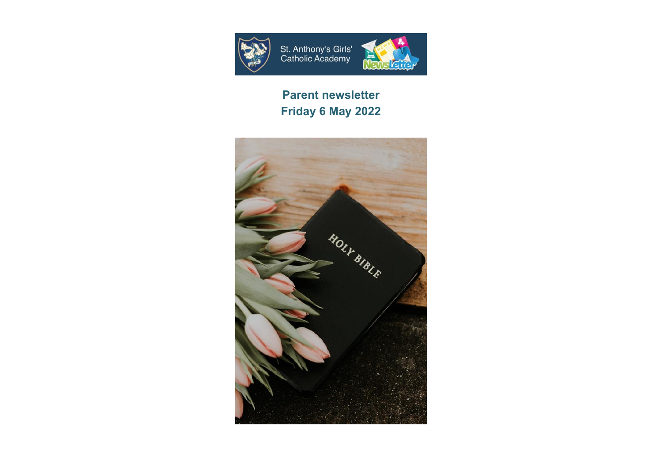

# **Parent newsletter Friday 6 May 2022**

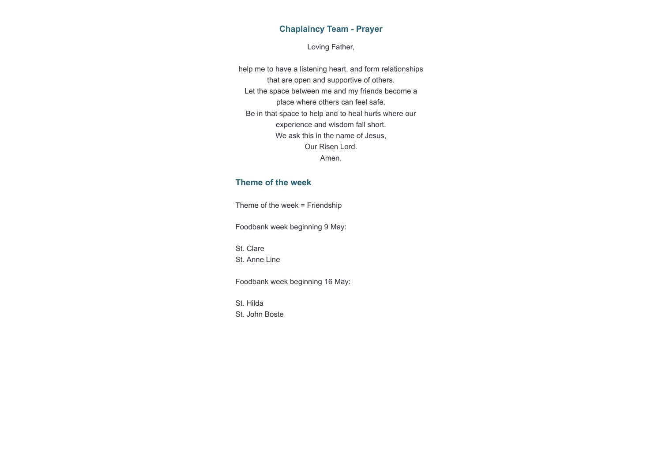## **Chaplaincy Team - Prayer**

Loving Father,

help me to have a listening heart, and form relationships that are open and supportive of others. Let the space between me and my friends become a place where others can feel safe. Be in that space to help and to heal hurts where our experience and wisdom fall short. We ask this in the name of Jesus, Our Risen Lord. Amen.

## **Theme of the week**

Theme of the week = Friendship

Foodbank week beginning 9 May:

St. Clare

St. Anne Line

Foodbank week beginning 16 May:

St. Hilda St. John Boste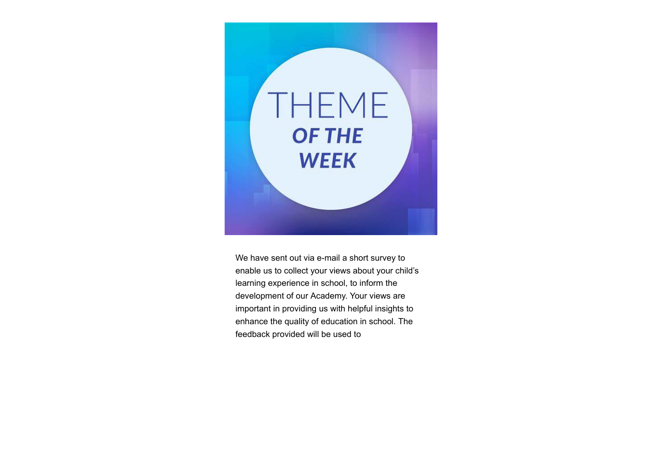

We have sent out via e-mail a short survey to enable us to collect your views about your child's learning experience in school, to inform the development of our Academy. Your views are important in providing us with helpful insights to enhance the quality of education in school. The feedback provided will be used to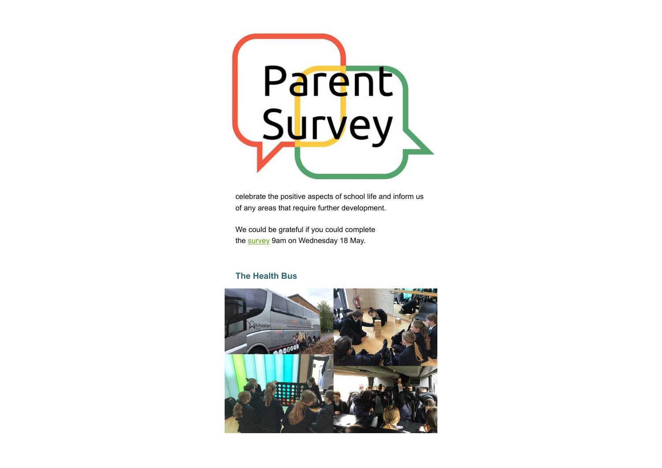

celebrate the positive aspects of school life and inform us of any areas that require further development.

We could be grateful if you could complete the **[survey](https://stanthonysgirlscatholicacademy.createsend1.com/t/y-l-bdjdkjk-l-y/)** 9am on Wednesday 18 May.

## **The Health Bus**

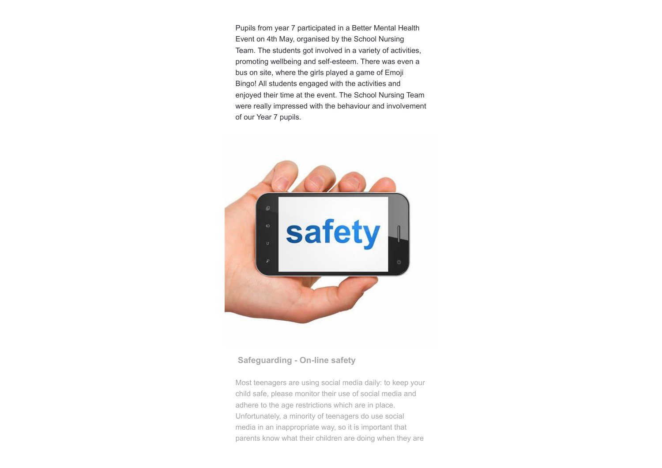Pupils from year 7 participated in a Better Mental Health Event on 4th May, organised by the School Nursing Team. The students got involved in a variety of activities, promoting wellbeing and self-esteem. There was even a bus on site, where the girls played a game of Emoji Bingo! All students engaged with the activities and enjoyed their time at the event. The School Nursing Team were really impressed with the behaviour and involvement of our Year 7 pupils.



#### **Safeguarding - On-line safety**

Most teenagers are using social media daily: to keep your child safe, please monitor their use of social media and adhere to the age restrictions which are in place. Unfortunately, a minority of teenagers do use social media in an inappropriate way, so it is important that parents know what their children are doing when they are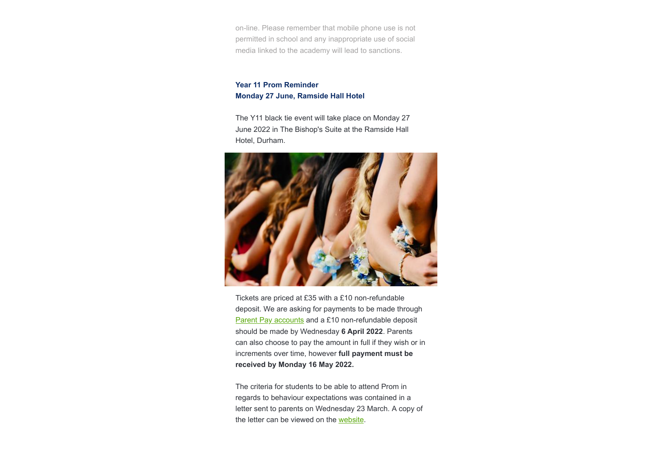on-line. Please remember that mobile phone use is not permitted in school and any inappropriate use of social media linked to the academy will lead to sanctions.

#### **Year 11 Prom Reminder Monday 27 June, Ramside Hall Hotel**

The Y11 black tie event will take place on Monday 27 June 2022 in The Bishop's Suite at the Ramside Hall Hotel, Durham.



Tickets are priced at £35 with a £10 non-refundable deposit. We are asking for payments to be made through [Parent Pay accounts](https://stanthonysgirlscatholicacademy.createsend1.com/t/y-l-bdjdkjk-l-j/) and a £10 non-refundable deposit should be made by Wednesday **6 April 2022**. Parents can also choose to pay the amount in full if they wish or in increments over time, however **full payment must be received by Monday 16 May 2022.**

The criteria for students to be able to attend Prom in regards to behaviour expectations was contained in a letter sent to parents on Wednesday 23 March. A copy of the letter can be viewed on the [website](https://stanthonysgirlscatholicacademy.createsend1.com/t/y-l-bdjdkjk-l-t/).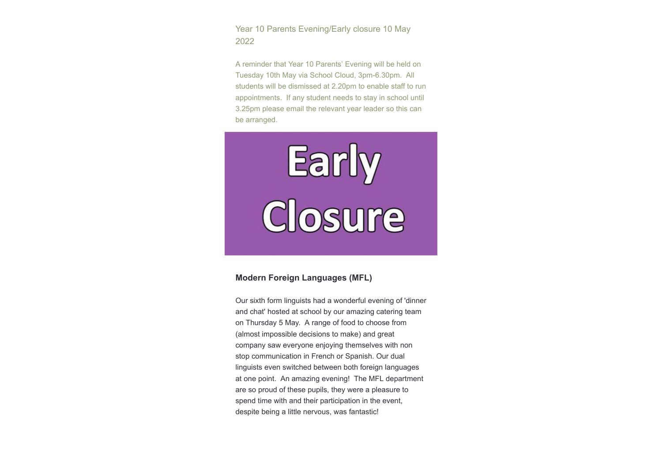Year 10 Parents Evening/Early closure 10 May 2022

A reminder that Year 10 Parents' Evening will be held on Tuesday 10th May via School Cloud, 3pm-6.30pm. All students will be dismissed at 2.20pm to enable staff to run appointments. If any student needs to stay in school until 3.25pm please email the relevant year leader so this can be arranged.



## **Modern Foreign Languages (MFL)**

Our sixth form linguists had a wonderful evening of 'dinner and chat' hosted at school by our amazing catering team on Thursday 5 May. A range of food to choose from (almost impossible decisions to make) and great company saw everyone enjoying themselves with non stop communication in French or Spanish. Our dual linguists even switched between both foreign languages at one point. An amazing evening! The MFL department are so proud of these pupils, they were a pleasure to spend time with and their participation in the event, despite being a little nervous, was fantastic!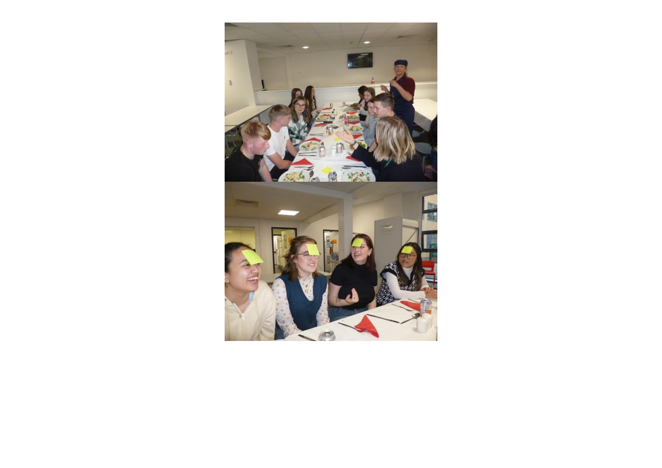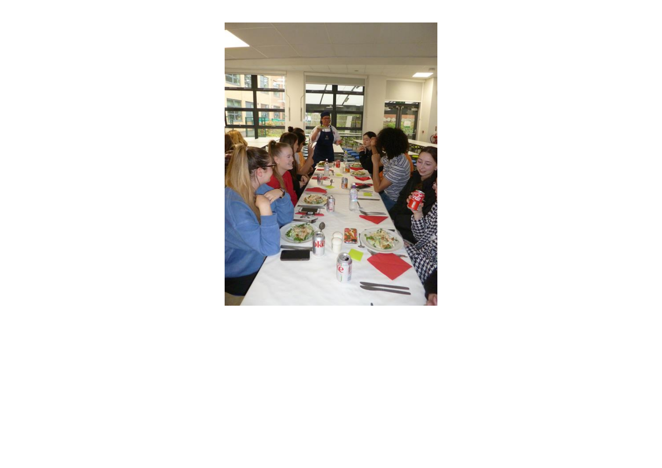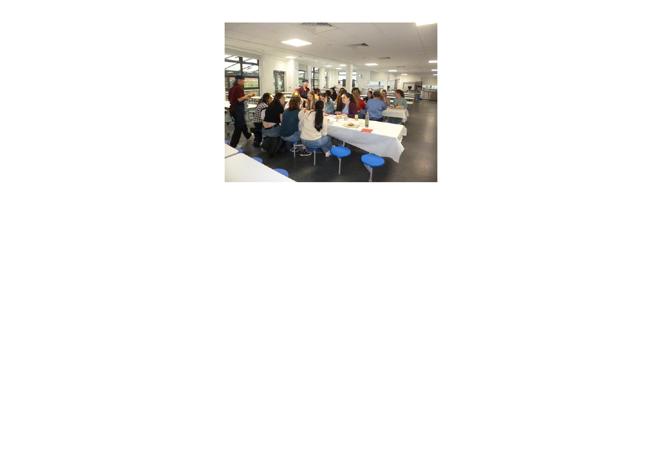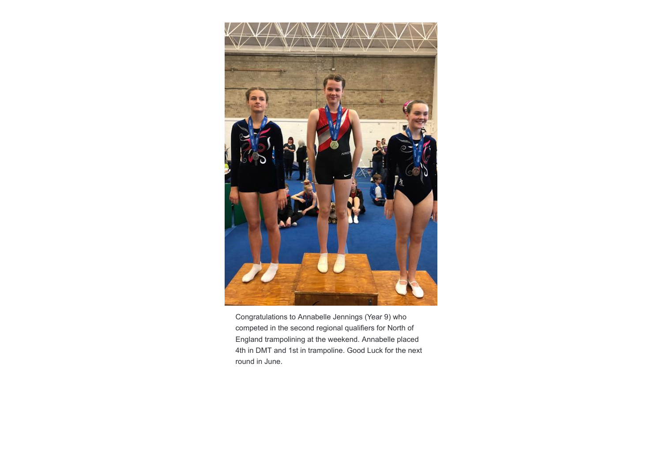

Congratulations to Annabelle Jennings (Year 9) who competed in the second regional qualifiers for North of England trampolining at the weekend. Annabelle placed 4th in DMT and 1st in trampoline. Good Luck for the next round in June.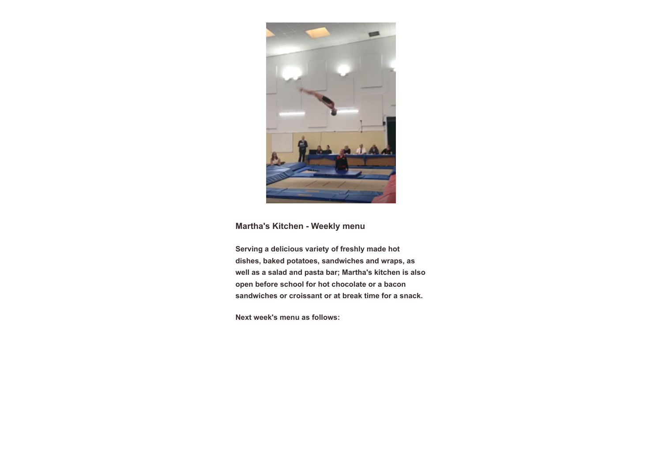

**Martha's Kitchen - Weekly menu**

**Serving a delicious variety of freshly made hot dishes, baked potatoes, sandwiches and wraps, as well as a salad and pasta bar; Martha's kitchen is also open before school for hot chocolate or a bacon sandwiches or croissant or at break time for a snack.**

**Next week's menu as follows:**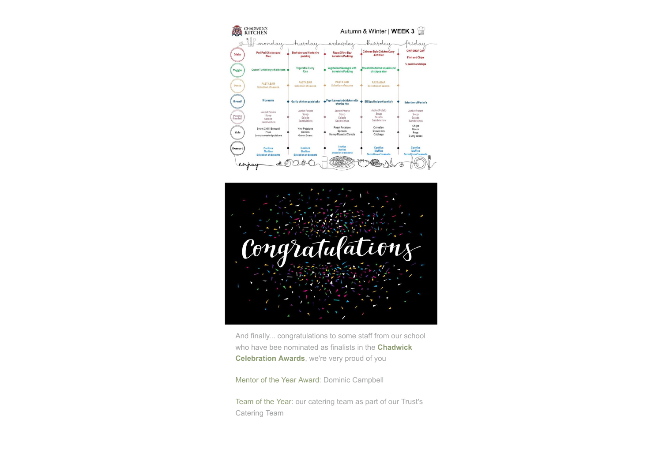| erday            |                                                         |  |                                               | wednerdau |                                                           |  | thursday                                       |  | riday                                              |
|------------------|---------------------------------------------------------|--|-----------------------------------------------|-----------|-----------------------------------------------------------|--|------------------------------------------------|--|----------------------------------------------------|
| Main             | Peri Peri Chicken and<br>Rice                           |  | <b>Beef stew and Yorkshire</b><br>pudding     |           | <b>Roast Of the Day</b><br><b>Yorkshire Pudding</b>       |  | Chinese Style Chicken Curry<br><b>And Rice</b> |  | <b>CHIP SHOP DAY</b><br><b>Fish and Chips</b>      |
| Veggie           | Quorn Turkish style flat breads                         |  | Vegetable Curry<br>Rice                       |           | Vegetarian Sausages with<br><b>Yorkshire Pudding</b>      |  | Roasted butternut squash and<br>chickpea stew  |  | % panini and chips                                 |
| Pasta            | <b>PASTA BAR</b><br>Selection of sauces                 |  | <b>PASTABAR</b><br>Selection of sauces        |           | <b>PASTABAR</b><br>Selection of sauces                    |  | <b>PASTABAR</b><br>Selection of sauces         |  |                                                    |
| <b>Bread</b>     | Moussake                                                |  | Garlic chicken pasta bake                     |           | Paprika roasted chicken with<br>chorizo rice              |  | BBQ pulled pork burrito's                      |  | Selection of Panini's                              |
| Potato<br>Panini | Jacket Potato<br>Soup<br>Salads<br>Sandwiches           |  | Jacket Potato<br>Soup<br>Salada<br>Sandwiches |           | Jacket Potato<br>Soup<br>Salads<br>Sandwiches             |  | Jacket Potato<br>Soup<br>Salads<br>Sandwiches  |  | Jacket Potato<br>Soup<br>Salada<br>Sandwiches      |
| Side             | Sweet Chilli Broccoli<br>Peas<br>Lemon roasted potatoes |  | New Potatoes<br>Carrots<br>Green Beans        |           | Roast Potatoes<br>Sprouts<br><b>Honey Roasted Carrots</b> |  | Coleslaw<br>Sweetcorn<br>Cabbage               |  | Chips<br>Beans<br>Peas<br>Curry sauce              |
| <b>Dessert</b>   | Cookina<br><b>Muffins</b><br>Selection of desserts      |  | Cookies<br>Muffins<br>Selection of desserts   |           | Cookies<br><b>Muffins</b><br><b>Selection of desserts</b> |  | Cookies<br>Muffins<br>Selection of desserts    |  | Cookies<br><b>Muffins</b><br>Selection of desserts |



And finally... congratulations to some staff from our school who have bee nominated as finalists in the **Chadwick Celebration Awards**, we're very proud of you

Mentor of the Year Award: Dominic Campbell

Team of the Year: our catering team as part of our Trust's Catering Team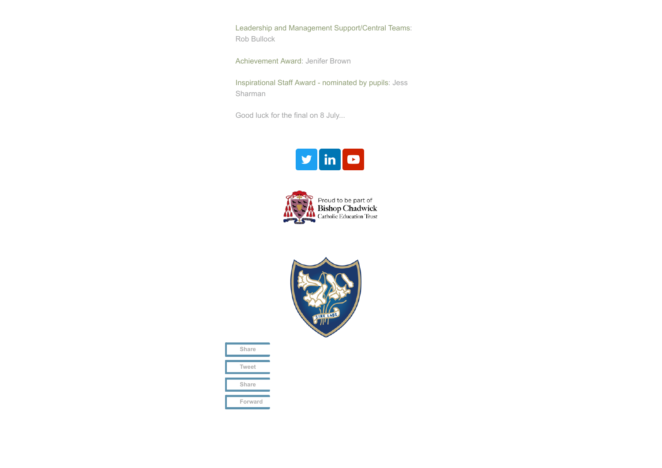Leadership and Management Support/Central Teams: Rob Bullock

Achievement Award: Jenifer Brown

Inspirational Staff Award - nominated by pupils: Jess Sharman

Good luck for the final on 8 July...